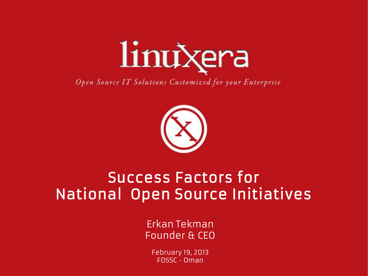

Open Source IT Solutions Customized for your Enterprise



#### Success Factors for National Open Source Initiatives

Erkan Tekman Founder & CEO

February 19, 2013 FOSSC - Oman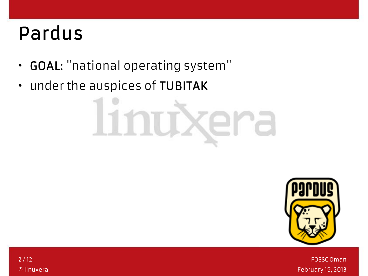## Pardus

- GOAL: "national operating system"
- under the auspices of TUBITAK

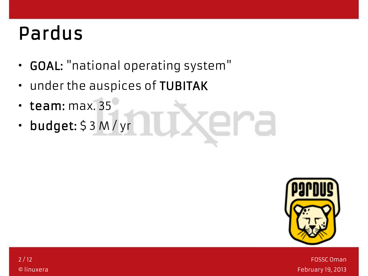## Pardus

- GOAL: "national operating system"
- under the auspices of TUBITAK
- team: max. 35
- budget: \$ 3 M / yr

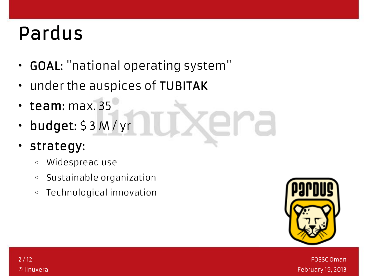# Pardus

- GOAL: "national operating system"
- under the auspices of TUBITAK
- team: max. 35
- budget: \$ 3 M / yr
- strategy:
	- o Widespread use
	- o Sustainable organization
	- o Technological innovation



FOSSC Oman February 19, 2013

2 / 12 © linuxera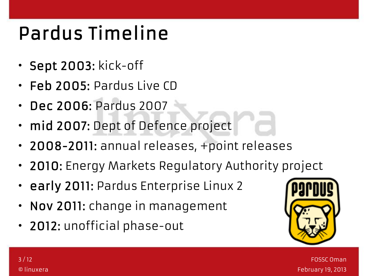# Pardus Timeline

- Sept 2003: kick-off
- Feb 2005: Pardus Live CD
- Dec 2006: Pardus 2007
- mid 2007: Dept of Defence project
- 2008-2011: annual releases, +point releases
- 2010: Energy Markets Regulatory Authority project
- early 2011: Pardus Enterprise Linux 2
- Nov 2011: change in management
- 2012: unofficial phase-out

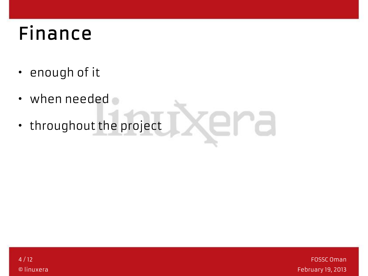# Finance

- enough of it
- when needed
- throughout the project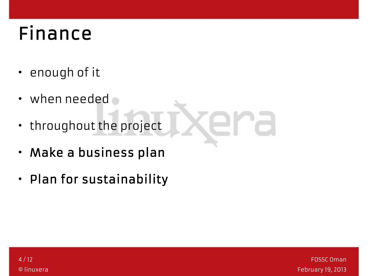# Finance

- enough of it
- when needed
- throughout the project
- Make a business plan
- Plan for sustainability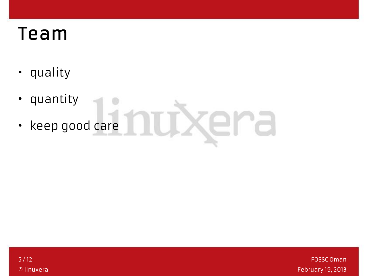#### Team

- quality
- quantity • keep good care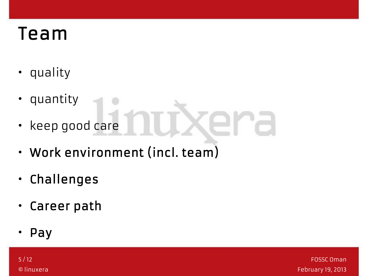#### Team

- quality
- quantity
- keep good care
- Work environment (incl. team)
- Challenges
- Career path
- Pay

5 / 12 © linuxera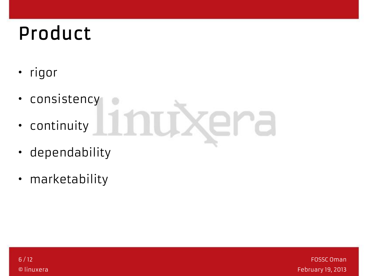# Product

- rigor
- consistency
- continuity
- dependability
- marketability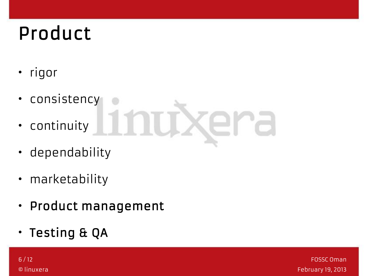# Product

- rigor
- consistency
- continuity
- dependability
- marketability
- Product management
- Testing & QA

6 / 12 © linuxera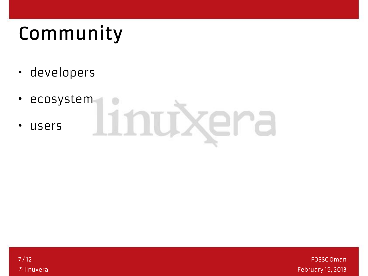# Community

- developers
- ecosystem
- users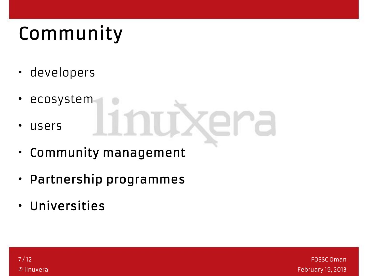# Community

- developers
- ecosystem
- users
- Community management
- Partnership programmes
- Universities

7 / 12 © linuxera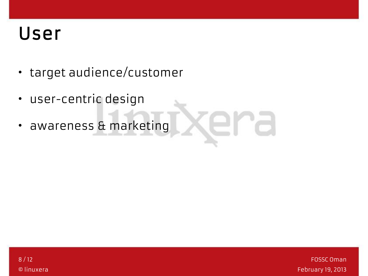#### User

- target audience/customer
- user-centric design
- awareness & marketing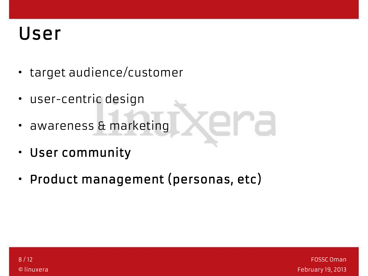#### User

- target audience/customer
- user-centric design
- awareness & marketing
- User community
- Product management (personas, etc)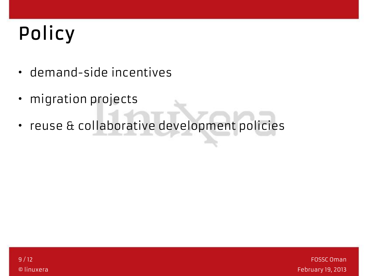# Policy

- demand-side incentives
- migration projects
- reuse & collaborative development policies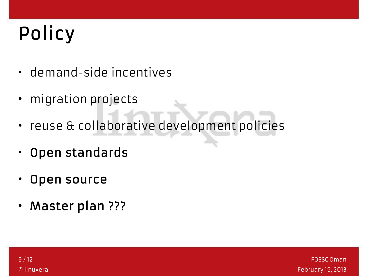# Policy

- demand-side incentives
- migration projects
- reuse & collaborative development policies
- Open standards
- Open source
- Master plan ???

9 / 12 © linuxera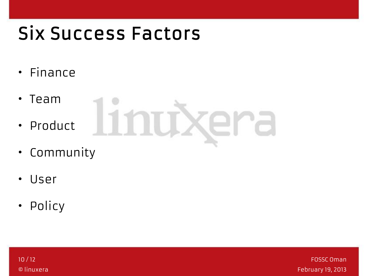### Six Success Factors

- Finance
- Team
- Product
- Community
- User
- Policy

10 / 12 © linuxera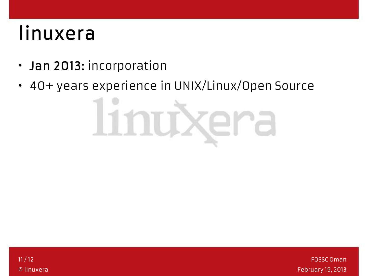# linuxera

- Jan 2013: incorporation
- 40+ years experience in UNIX/Linux/Open Source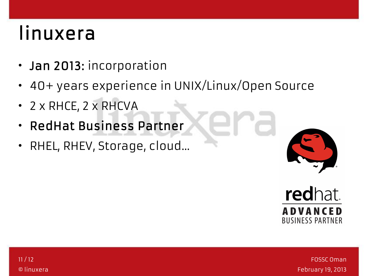## linuxera

- Jan 2013: incorporation
- 40+ years experience in UNIX/Linux/Open Source
- 2 x RHCE, 2 x RHCVA
- RedHat Business Partner
- RHEL, RHEV, Storage, cloud...



redhat. **ADVANCED BUSINESS PARTNER**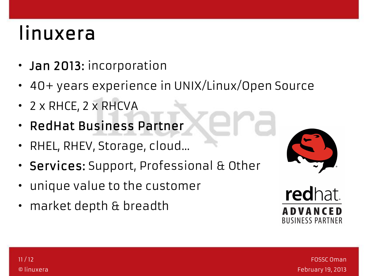# linuxera

- Jan 2013: incorporation
- 40+ years experience in UNIX/Linux/Open Source
- 2 x RHCE, 2 x RHCVA
- RedHat Business Partner
- RHEL, RHEV, Storage, cloud...
- Services: Support, Professional & Other
- unique value to the customer
- market depth & breadth